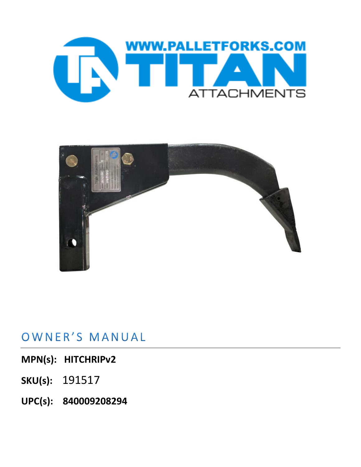



# OWNER'S MANUAL

### **MPN(s): HITCHRIPv2**

- **SKU(s):** 191517
- **UPC(s): 840009208294**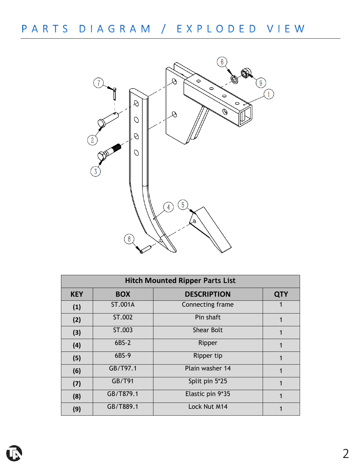

| <b>Hitch Mounted Ripper Parts List</b> |                |                    |            |
|----------------------------------------|----------------|--------------------|------------|
| <b>KEY</b>                             | <b>BOX</b>     | <b>DESCRIPTION</b> | <b>QTY</b> |
| (1)                                    | <b>ST.001A</b> | Connecting frame   |            |
| (2)                                    | ST.002         | Pin shaft          |            |
| (3)                                    | ST.003         | <b>Shear Bolt</b>  |            |
| (4)                                    | $6BS-2$        | Ripper             |            |
| (5)                                    | 6BS-9          | Ripper tip         |            |
| (6)                                    | GB/T97.1       | Plain washer 14    |            |
| (7)                                    | GB/T91         | Split pin 5*25     |            |
| (8)                                    | GB/T879.1      | Elastic pin 9*35   |            |
| (9)                                    | GB/T889.1      | Lock Nut M14       |            |